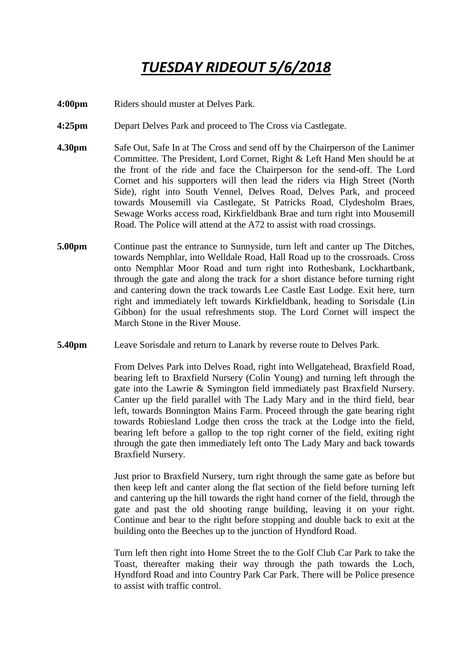## *TUESDAY RIDEOUT 5/6/2018*

**4:00pm** Riders should muster at Delves Park.

- **4:25pm** Depart Delves Park and proceed to The Cross via Castlegate.
- **4.30pm** Safe Out, Safe In at The Cross and send off by the Chairperson of the Lanimer Committee. The President, Lord Cornet, Right & Left Hand Men should be at the front of the ride and face the Chairperson for the send-off. The Lord Cornet and his supporters will then lead the riders via High Street (North Side), right into South Vennel, Delves Road, Delves Park, and proceed towards Mousemill via Castlegate, St Patricks Road, Clydesholm Braes, Sewage Works access road, Kirkfieldbank Brae and turn right into Mousemill Road. The Police will attend at the A72 to assist with road crossings.
- **5.00pm** Continue past the entrance to Sunnyside, turn left and canter up The Ditches, towards Nemphlar, into Welldale Road, Hall Road up to the crossroads. Cross onto Nemphlar Moor Road and turn right into Rothesbank, Lockhartbank, through the gate and along the track for a short distance before turning right and cantering down the track towards Lee Castle East Lodge. Exit here, turn right and immediately left towards Kirkfieldbank, heading to Sorisdale (Lin Gibbon) for the usual refreshments stop. The Lord Cornet will inspect the March Stone in the River Mouse.
- **5.40pm** Leave Sorisdale and return to Lanark by reverse route to Delves Park.

From Delves Park into Delves Road, right into Wellgatehead, Braxfield Road, bearing left to Braxfield Nursery (Colin Young) and turning left through the gate into the Lawrie & Symington field immediately past Braxfield Nursery. Canter up the field parallel with The Lady Mary and in the third field, bear left, towards Bonnington Mains Farm. Proceed through the gate bearing right towards Robiesland Lodge then cross the track at the Lodge into the field, bearing left before a gallop to the top right corner of the field, exiting right through the gate then immediately left onto The Lady Mary and back towards Braxfield Nursery.

Just prior to Braxfield Nursery, turn right through the same gate as before but then keep left and canter along the flat section of the field before turning left and cantering up the hill towards the right hand corner of the field, through the gate and past the old shooting range building, leaving it on your right. Continue and bear to the right before stopping and double back to exit at the building onto the Beeches up to the junction of Hyndford Road.

Turn left then right into Home Street the to the Golf Club Car Park to take the Toast, thereafter making their way through the path towards the Loch, Hyndford Road and into Country Park Car Park. There will be Police presence to assist with traffic control.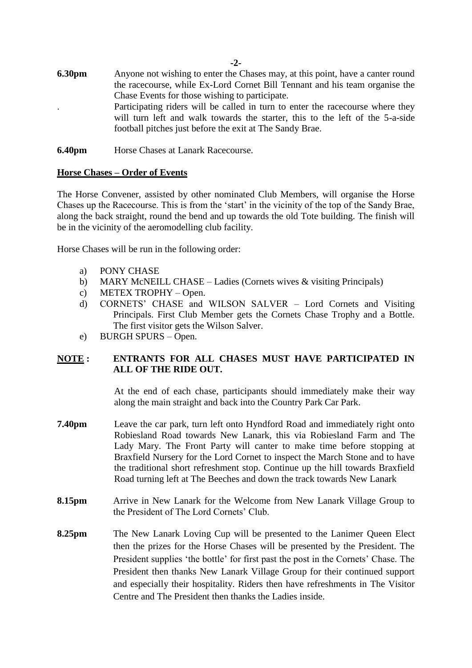- **6.30pm** Anyone not wishing to enter the Chases may, at this point, have a canter round the racecourse, while Ex-Lord Cornet Bill Tennant and his team organise the Chase Events for those wishing to participate. . Participating riders will be called in turn to enter the racecourse where they will turn left and walk towards the starter, this to the left of the 5-a-side football pitches just before the exit at The Sandy Brae.
- **6.40pm** Horse Chases at Lanark Racecourse.

## **Horse Chases – Order of Events**

The Horse Convener, assisted by other nominated Club Members, will organise the Horse Chases up the Racecourse. This is from the 'start' in the vicinity of the top of the Sandy Brae, along the back straight, round the bend and up towards the old Tote building. The finish will be in the vicinity of the aeromodelling club facility.

Horse Chases will be run in the following order:

- a) PONY CHASE
- b) MARY McNEILL CHASE Ladies (Cornets wives & visiting Principals)
- c) METEX TROPHY Open.
- d) CORNETS' CHASE and WILSON SALVER Lord Cornets and Visiting Principals. First Club Member gets the Cornets Chase Trophy and a Bottle. The first visitor gets the Wilson Salver.
- e) BURGH SPURS Open.

## **NOTE : ENTRANTS FOR ALL CHASES MUST HAVE PARTICIPATED IN ALL OF THE RIDE OUT.**

At the end of each chase, participants should immediately make their way along the main straight and back into the Country Park Car Park.

- **7.40pm** Leave the car park, turn left onto Hyndford Road and immediately right onto Robiesland Road towards New Lanark, this via Robiesland Farm and The Lady Mary. The Front Party will canter to make time before stopping at Braxfield Nursery for the Lord Cornet to inspect the March Stone and to have the traditional short refreshment stop. Continue up the hill towards Braxfield Road turning left at The Beeches and down the track towards New Lanark
- **8.15pm** Arrive in New Lanark for the Welcome from New Lanark Village Group to the President of The Lord Cornets' Club.
- **8.25pm** The New Lanark Loving Cup will be presented to the Lanimer Queen Elect then the prizes for the Horse Chases will be presented by the President. The President supplies 'the bottle' for first past the post in the Cornets' Chase. The President then thanks New Lanark Village Group for their continued support and especially their hospitality. Riders then have refreshments in The Visitor Centre and The President then thanks the Ladies inside.

**-2-**